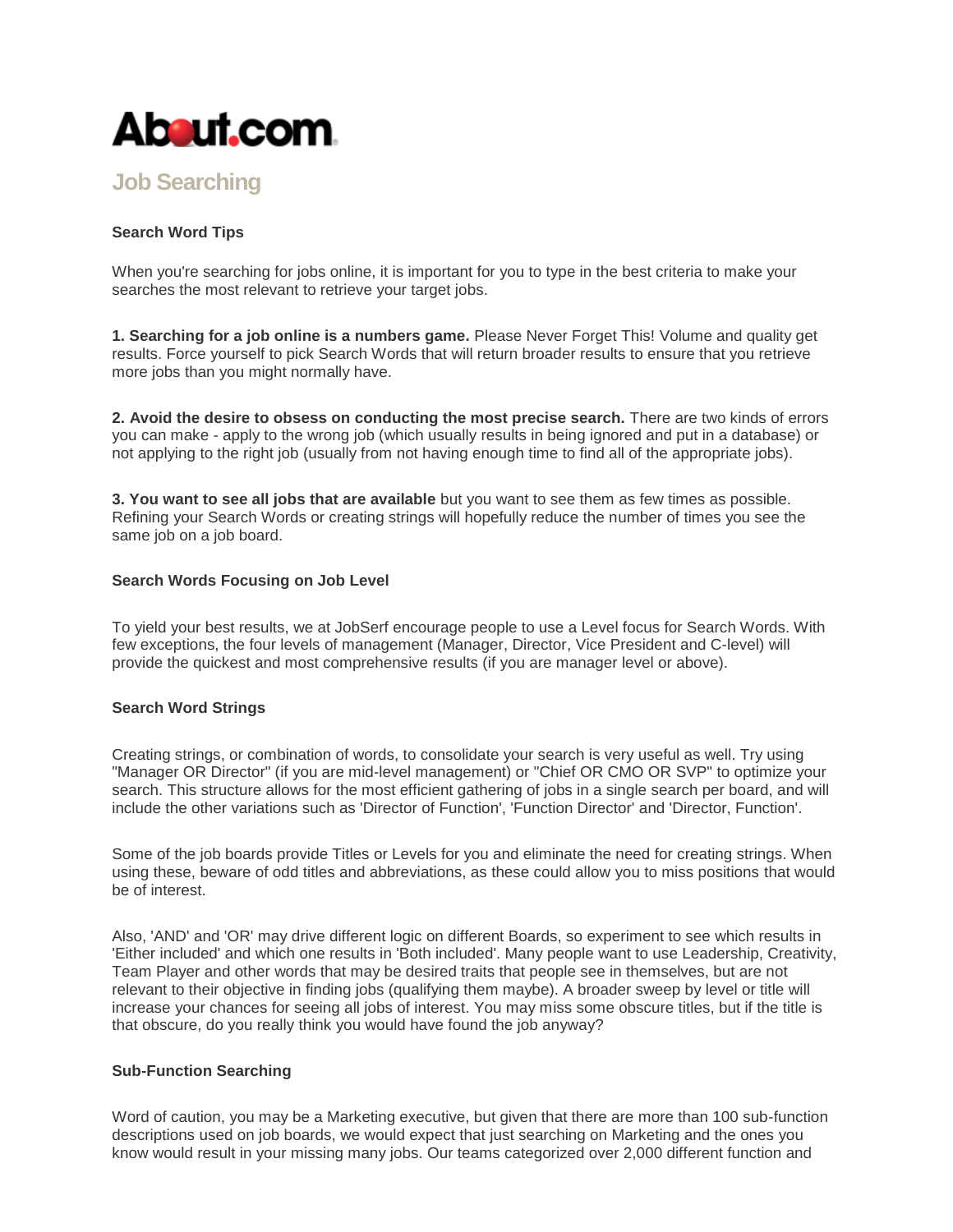

# **[Job Searching](http://jobsearch.about.com/)**

# **Search Word Tips**

When you're searching for jobs online, it is important for you to type in the best criteria to make your searches the most relevant to retrieve your target jobs.

**1. Searching for a job online is a numbers game.** Please Never Forget This! Volume and quality get results. Force yourself to pick Search Words that will return broader results to ensure that you retrieve more jobs than you might normally have.

**2. Avoid the desire to obsess on conducting the most precise search.** There are two kinds of errors you can make - apply to the wrong job (which usually results in being ignored and put in a database) or not applying to the right job (usually from not having enough time to find all of the appropriate jobs).

**3. You want to see all jobs that are available** but you want to see them as few times as possible. Refining your Search Words or creating strings will hopefully reduce the number of times you see the same job on a job board.

#### **Search Words Focusing on Job Level**

To yield your best results, we at JobSerf encourage people to use a Level focus for Search Words. With few exceptions, the four levels of management (Manager, Director, Vice President and C-level) will provide the quickest and most comprehensive results (if you are manager level or above).

### **Search Word Strings**

Creating strings, or combination of words, to consolidate your search is very useful as well. Try using "Manager OR Director" (if you are mid-level management) or "Chief OR CMO OR SVP" to optimize your search. This structure allows for the most efficient gathering of jobs in a single search per board, and will include the other variations such as 'Director of Function', 'Function Director' and 'Director, Function'.

Some of the job boards provide Titles or Levels for you and eliminate the need for creating strings. When using these, beware of odd titles and abbreviations, as these could allow you to miss positions that would be of interest.

Also, 'AND' and 'OR' may drive different logic on different Boards, so experiment to see which results in 'Either included' and which one results in 'Both included'. Many people want to use Leadership, Creativity, Team Player and other words that may be desired traits that people see in themselves, but are not relevant to their objective in finding jobs (qualifying them maybe). A broader sweep by level or title will increase your chances for seeing all jobs of interest. You may miss some obscure titles, but if the title is that obscure, do you really think you would have found the job anyway?

#### **Sub-Function Searching**

Word of caution, you may be a Marketing executive, but given that there are more than 100 sub-function descriptions used on job boards, we would expect that just searching on Marketing and the ones you know would result in your missing many jobs. Our teams categorized over 2,000 different function and